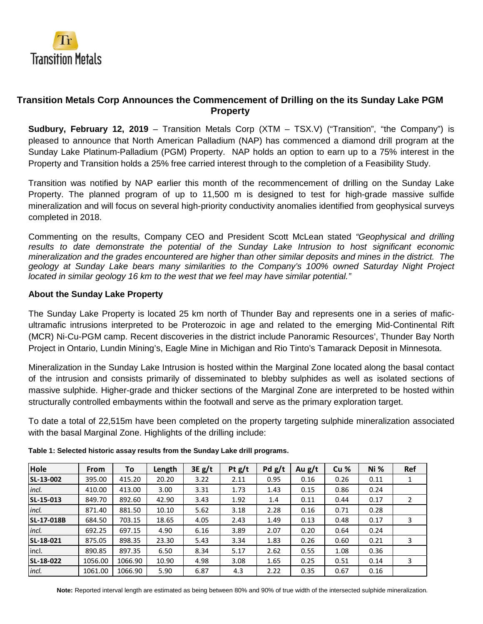

# **Transition Metals Corp Announces the Commencement of Drilling on the its Sunday Lake PGM Property**

**Sudbury, February 12, 2019** – Transition Metals Corp (XTM – TSX.V) ("Transition", "the Company") is pleased to announce that North American Palladium (NAP) has commenced a diamond drill program at the Sunday Lake Platinum-Palladium (PGM) Property. NAP holds an option to earn up to a 75% interest in the Property and Transition holds a 25% free carried interest through to the completion of a Feasibility Study.

Transition was notified by NAP earlier this month of the recommencement of drilling on the Sunday Lake Property. The planned program of up to 11,500 m is designed to test for high-grade massive sulfide mineralization and will focus on several high-priority conductivity anomalies identified from geophysical surveys completed in 2018.

Commenting on the results, Company CEO and President Scott McLean stated *"Geophysical and drilling results to date demonstrate the potential of the Sunday Lake Intrusion to host significant economic mineralization and the grades encountered are higher than other similar deposits and mines in the district. The geology at Sunday Lake bears many similarities to the Company's 100% owned Saturday Night Project located in similar geology 16 km to the west that we feel may have similar potential."* 

### **About the Sunday Lake Property**

The Sunday Lake Property is located 25 km north of Thunder Bay and represents one in a series of maficultramafic intrusions interpreted to be Proterozoic in age and related to the emerging Mid-Continental Rift (MCR) Ni-Cu-PGM camp. Recent discoveries in the district include Panoramic Resources', Thunder Bay North Project in Ontario, Lundin Mining's, Eagle Mine in Michigan and Rio Tinto's Tamarack Deposit in Minnesota.

Mineralization in the Sunday Lake Intrusion is hosted within the Marginal Zone located along the basal contact of the intrusion and consists primarily of disseminated to blebby sulphides as well as isolated sections of massive sulphide. Higher-grade and thicker sections of the Marginal Zone are interpreted to be hosted within structurally controlled embayments within the footwall and serve as the primary exploration target.

To date a total of 22,515m have been completed on the property targeting sulphide mineralization associated with the basal Marginal Zone. Highlights of the drilling include:

| Hole       | <b>From</b> | To      | Length | 3E g/t | Pt $g/t$ | Pd g/t | Au $g/t$ | Cu <sub>%</sub> | <b>Ni %</b> | Ref |
|------------|-------------|---------|--------|--------|----------|--------|----------|-----------------|-------------|-----|
| SL-13-002  | 395.00      | 415.20  | 20.20  | 3.22   | 2.11     | 0.95   | 0.16     | 0.26            | 0.11        | 1   |
| incl.      | 410.00      | 413.00  | 3.00   | 3.31   | 1.73     | 1.43   | 0.15     | 0.86            | 0.24        |     |
| SL-15-013  | 849.70      | 892.60  | 42.90  | 3.43   | 1.92     | 1.4    | 0.11     | 0.44            | 0.17        | 2   |
| incl.      | 871.40      | 881.50  | 10.10  | 5.62   | 3.18     | 2.28   | 0.16     | 0.71            | 0.28        |     |
| SL-17-018B | 684.50      | 703.15  | 18.65  | 4.05   | 2.43     | 1.49   | 0.13     | 0.48            | 0.17        | 3   |
| incl.      | 692.25      | 697.15  | 4.90   | 6.16   | 3.89     | 2.07   | 0.20     | 0.64            | 0.24        |     |
| SL-18-021  | 875.05      | 898.35  | 23.30  | 5.43   | 3.34     | 1.83   | 0.26     | 0.60            | 0.21        | 3   |
| incl.      | 890.85      | 897.35  | 6.50   | 8.34   | 5.17     | 2.62   | 0.55     | 1.08            | 0.36        |     |
| SL-18-022  | 1056.00     | 1066.90 | 10.90  | 4.98   | 3.08     | 1.65   | 0.25     | 0.51            | 0.14        | 3   |
| incl.      | 1061.00     | 1066.90 | 5.90   | 6.87   | 4.3      | 2.22   | 0.35     | 0.67            | 0.16        |     |

**Table 1: Selected historic assay results from the Sunday Lake drill programs.**

**Note:** Reported interval length are estimated as being between 80% and 90% of true width of the intersected sulphide mineralization.